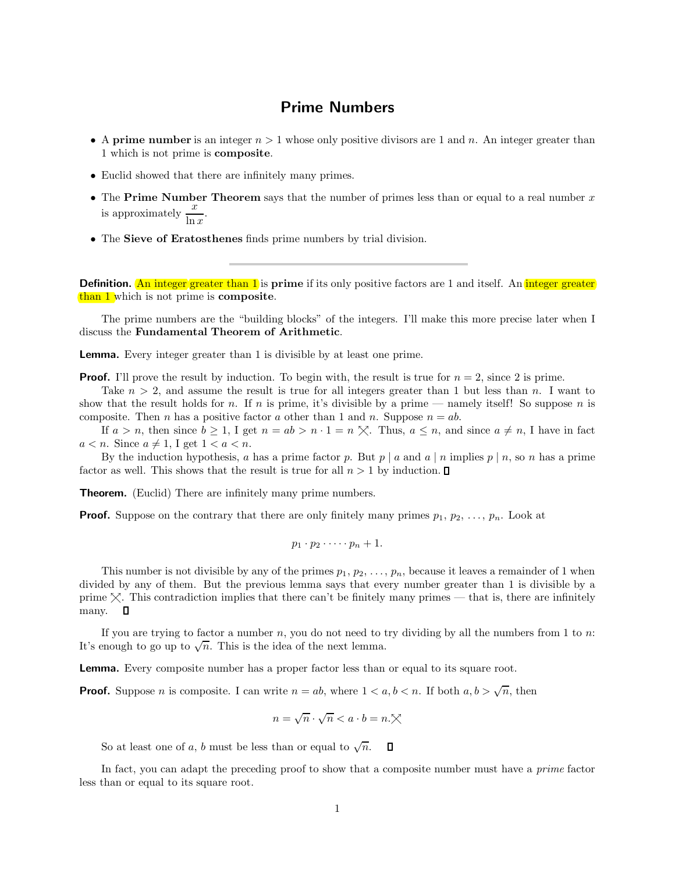## Prime Numbers

- A prime number is an integer  $n > 1$  whose only positive divisors are 1 and n. An integer greater than 1 which is not prime is composite.
- Euclid showed that there are infinitely many primes.
- The Prime Number Theorem says that the number of primes less than or equal to a real number  $x$ is approximately  $\frac{x}{\ln x}$ .
- The Sieve of Eratosthenes finds prime numbers by trial division.

Definition. An integer greater than 1 is prime if its only positive factors are 1 and itself. An integer greater than 1 which is not prime is composite.

The prime numbers are the "building blocks" of the integers. I'll make this more precise later when I discuss the Fundamental Theorem of Arithmetic.

Lemma. Every integer greater than 1 is divisible by at least one prime.

**Proof.** I'll prove the result by induction. To begin with, the result is true for  $n = 2$ , since 2 is prime.

Take  $n > 2$ , and assume the result is true for all integers greater than 1 but less than n. I want to show that the result holds for n. If n is prime, it's divisible by a prime — namely itself! So suppose n is composite. Then *n* has a positive factor *a* other than 1 and *n*. Suppose  $n = ab$ .

If  $a > n$ , then since  $b \geq 1$ , I get  $n = ab > n \cdot 1 = n \times$ . Thus,  $a \leq n$ , and since  $a \neq n$ , I have in fact  $a < n$ . Since  $a \neq 1$ , I get  $1 < a < n$ .

By the induction hypothesis, a has a prime factor p. But  $p \mid a$  and  $a \mid n$  implies  $p \mid n$ , so n has a prime factor as well. This shows that the result is true for all  $n > 1$  by induction.  $\Box$ 

**Theorem.** (Euclid) There are infinitely many prime numbers.

**Proof.** Suppose on the contrary that there are only finitely many primes  $p_1, p_2, \ldots, p_n$ . Look at

$$
p_1\cdot p_2\cdot\cdots\cdot p_n+1.
$$

This number is not divisible by any of the primes  $p_1, p_2, \ldots, p_n$ , because it leaves a remainder of 1 when divided by any of them. But the previous lemma says that every number greater than 1 is divisible by a prime  $\chi$ . This contradiction implies that there can't be finitely many primes — that is, there are infinitely many.  $\square$ 

If you are trying to factor a number n, you do not need to try dividing by all the numbers from 1 to  $n$ : It's enough to go up to  $\sqrt{n}$ . This is the idea of the next lemma.

Lemma. Every composite number has a proper factor less than or equal to its square root.

**Proof.** Suppose *n* is composite. I can write  $n = ab$ , where  $1 < a, b < n$ . If both  $a, b > \sqrt{n}$ , then

$$
n = \sqrt{n} \cdot \sqrt{n} < a \cdot b = n. \times
$$

So at least one of a, b must be less than or equal to  $\sqrt{n}$ .  $\Box$ 

In fact, you can adapt the preceding proof to show that a composite number must have a *prime* factor less than or equal to its square root.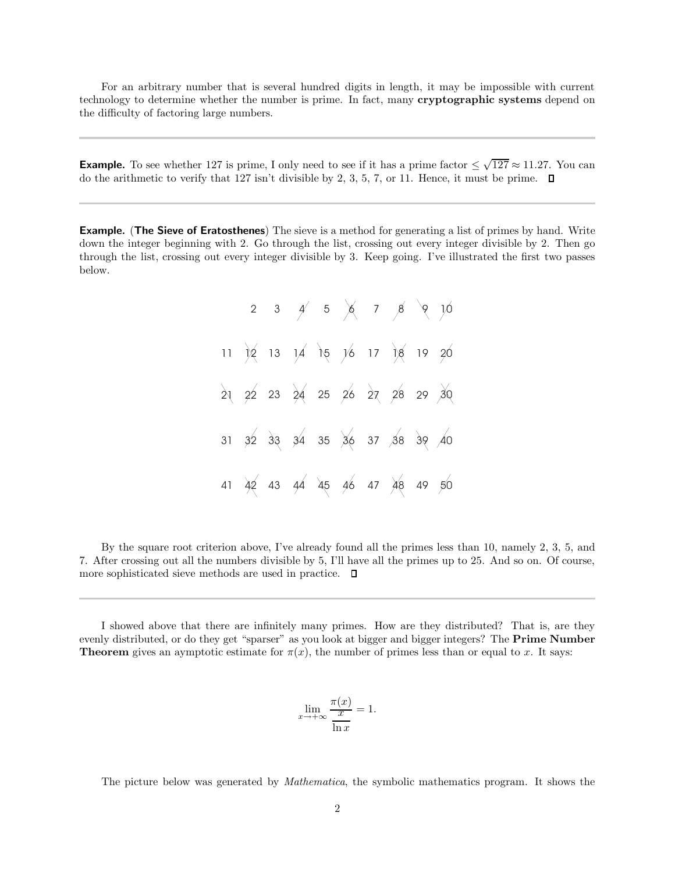For an arbitrary number that is several hundred digits in length, it may be impossible with current technology to determine whether the number is prime. In fact, many cryptographic systems depend on the difficulty of factoring large numbers.

**Example.** To see whether 127 is prime, I only need to see if it has a prime factor  $\leq \sqrt{127} \approx 11.27$ . You can do the arithmetic to verify that 127 isn't divisible by 2, 3, 5, 7, or 11. Hence, it must be prime.  $\Box$ 

**Example.** (The Sieve of Eratosthenes) The sieve is a method for generating a list of primes by hand. Write down the integer beginning with 2. Go through the list, crossing out every integer divisible by 2. Then go through the list, crossing out every integer divisible by 3. Keep going. I've illustrated the first two passes below.

2 11 21 31 41 3 4 5 6 7 8 9 10 12 13 14 15 16 17 18 19 20 22 23 24 25 26 27 28 29 30 32 33 34 35 36 37 38 39 40 42 43 44 45 46 47 48 49 50

By the square root criterion above, I've already found all the primes less than 10, namely 2, 3, 5, and 7. After crossing out all the numbers divisible by 5, I'll have all the primes up to 25. And so on. Of course, more sophisticated sieve methods are used in practice.  $\Box$ 

I showed above that there are infinitely many primes. How are they distributed? That is, are they evenly distributed, or do they get "sparser" as you look at bigger and bigger integers? The **Prime Number Theorem** gives an aymptotic estimate for  $\pi(x)$ , the number of primes less than or equal to x. It says:

$$
\lim_{x \to +\infty} \frac{\pi(x)}{\frac{x}{\ln x}} = 1.
$$

 $x \in \mathbb{R}$ 

The picture below was generated by Mathematica, the symbolic mathematics program. It shows the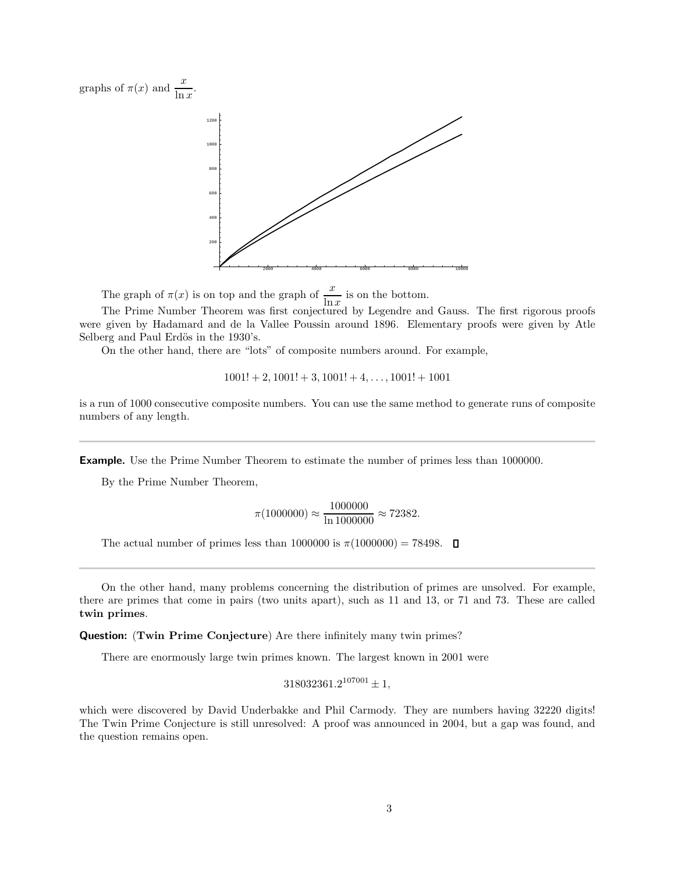graphs of  $\pi(x)$  and  $\frac{x}{\ln x}$ .



The graph of  $\pi(x)$  is on top and the graph of  $\frac{x}{\ln x}$  is on the bottom.

The Prime Number Theorem was first conjectured by Legendre and Gauss. The first rigorous proofs were given by Hadamard and de la Vallee Poussin around 1896. Elementary proofs were given by Atle Selberg and Paul Erdös in the 1930's.

On the other hand, there are "lots" of composite numbers around. For example,

$$
1001! + 2, 1001! + 3, 1001! + 4, \ldots, 1001! + 1001
$$

is a run of 1000 consecutive composite numbers. You can use the same method to generate runs of composite numbers of any length.

Example. Use the Prime Number Theorem to estimate the number of primes less than 1000000.

By the Prime Number Theorem,

$$
\pi(1000000) \approx \frac{1000000}{\ln 1000000} \approx 72382.
$$

The actual number of primes less than 1000000 is  $\pi(1000000) = 78498$ .  $\Box$ 

On the other hand, many problems concerning the distribution of primes are unsolved. For example, there are primes that come in pairs (two units apart), such as 11 and 13, or 71 and 73. These are called twin primes.

Question: (Twin Prime Conjecture) Are there infinitely many twin primes?

There are enormously large twin primes known. The largest known in 2001 were

$$
318032361.2^{107001} \pm 1,
$$

which were discovered by David Underbakke and Phil Carmody. They are numbers having 32220 digits! The Twin Prime Conjecture is still unresolved: A proof was announced in 2004, but a gap was found, and the question remains open.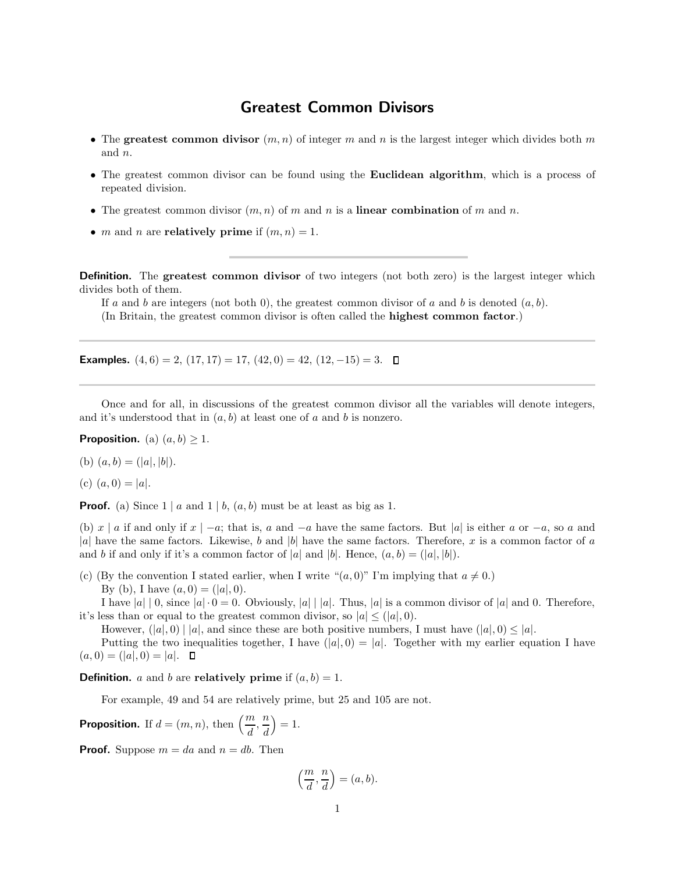## Greatest Common Divisors

- The greatest common divisor  $(m, n)$  of integer m and n is the largest integer which divides both m and n.
- The greatest common divisor can be found using the **Euclidean algorithm**, which is a process of repeated division.
- The greatest common divisor  $(m, n)$  of m and n is a linear combination of m and n.
- *m* and *n* are **relatively prime** if  $(m, n) = 1$ .

Definition. The greatest common divisor of two integers (not both zero) is the largest integer which divides both of them.

If a and b are integers (not both 0), the greatest common divisor of a and b is denoted  $(a, b)$ . (In Britain, the greatest common divisor is often called the highest common factor.)

**Examples.**  $(4, 6) = 2$ ,  $(17, 17) = 17$ ,  $(42, 0) = 42$ ,  $(12, -15) = 3$ . □

Once and for all, in discussions of the greatest common divisor all the variables will denote integers, and it's understood that in  $(a, b)$  at least one of a and b is nonzero.

**Proposition.** (a)  $(a, b) \geq 1$ .

(b)  $(a, b) = (|a|, |b|).$ 

(c) 
$$
(a, 0) = |a|
$$
.

**Proof.** (a) Since  $1 \mid a$  and  $1 \mid b$ ,  $(a, b)$  must be at least as big as 1.

(b) x | a if and only if  $x \mid -a$ ; that is, a and  $-a$  have the same factors. But |a| is either a or  $-a$ , so a and |a| have the same factors. Likewise, b and |b| have the same factors. Therefore, x is a common factor of a and b if and only if it's a common factor of |a| and |b|. Hence,  $(a, b) = (|a|, |b|)$ .

(c) (By the convention I stated earlier, when I write " $(a, 0)$ " I'm implying that  $a \neq 0$ .) By (b), I have  $(a, 0) = (|a|, 0)$ .

I have  $|a| \, | \, 0$ , since  $|a| \cdot 0 = 0$ . Obviously,  $|a| \, |a|$ . Thus,  $|a|$  is a common divisor of  $|a|$  and 0. Therefore, it's less than or equal to the greatest common divisor, so  $|a| \leq (|a|, 0)$ .

However,  $(|a|, 0) | |a|$ , and since these are both positive numbers, I must have  $(|a|, 0) \leq |a|$ .

Putting the two inequalities together, I have  $(|a|, 0) = |a|$ . Together with my earlier equation I have  $(a, 0) = (|a|, 0) = |a|$ .  $\Box$ 

**Definition.** a and b are **relatively** prime if  $(a, b) = 1$ .

For example, 49 and 54 are relatively prime, but 25 and 105 are not.

**Proposition.** If  $d = (m, n)$ , then  $\left(\frac{m}{d}, \frac{n}{d}\right)$ d  $= 1.$ 

**Proof.** Suppose  $m = da$  and  $n = db$ . Then

$$
\left(\frac{m}{d},\frac{n}{d}\right)=(a,b).
$$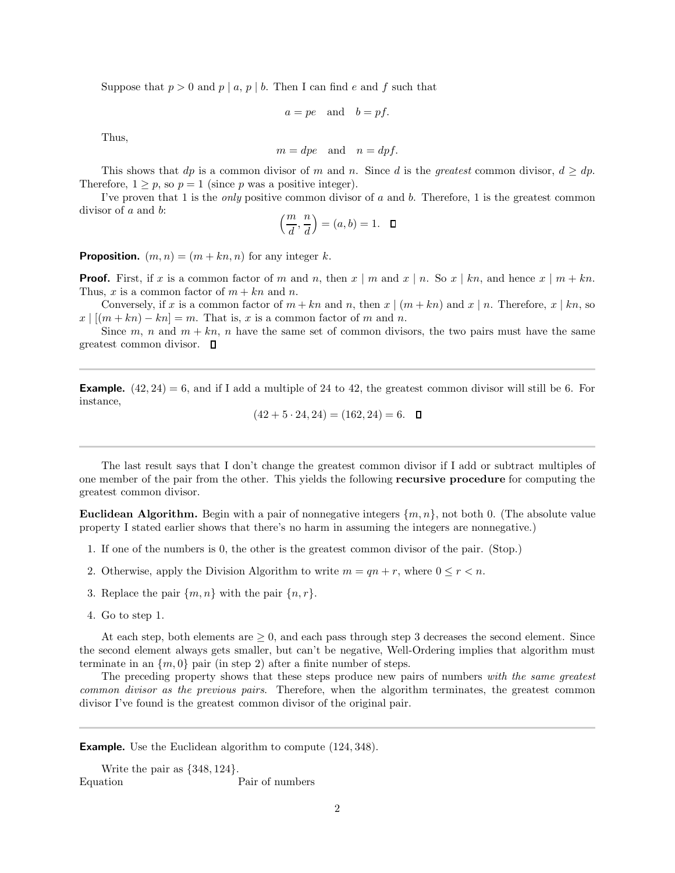Suppose that  $p > 0$  and  $p \mid a, p \mid b$ . Then I can find e and f such that

$$
a = pe \quad \text{and} \quad b = pf.
$$

Thus,

$$
m = dpe
$$
 and  $n = dpf$ .

This shows that dp is a common divisor of m and n. Since d is the greatest common divisor,  $d > dp$ . Therefore,  $1 \geq p$ , so  $p = 1$  (since p was a positive integer).

I've proven that 1 is the *only* positive common divisor of a and b. Therefore, 1 is the greatest common divisor of  $a$  and  $b$ :

$$
\left(\frac{m}{d},\frac{n}{d}\right)=(a,b)=1. \quad \Box
$$

**Proposition.**  $(m, n) = (m + kn, n)$  for any integer k.

**Proof.** First, if x is a common factor of m and n, then  $x \mid m$  and  $x \mid n$ . So  $x \mid kn$ , and hence  $x \mid m + kn$ . Thus, x is a common factor of  $m + kn$  and n.

Conversely, if x is a common factor of  $m + kn$  and n, then  $x \mid (m + kn)$  and  $x \mid n$ . Therefore,  $x \mid kn$ , so  $x \mid [(m + kn) - kn] = m$ . That is, x is a common factor of m and n.

Since m, n and  $m + kn$ , n have the same set of common divisors, the two pairs must have the same greatest common divisor.  $\Box$ 

**Example.**  $(42, 24) = 6$ , and if I add a multiple of 24 to 42, the greatest common divisor will still be 6. For instance,

$$
(42 + 5 \cdot 24, 24) = (162, 24) = 6. \quad \Box
$$

The last result says that I don't change the greatest common divisor if I add or subtract multiples of one member of the pair from the other. This yields the following recursive procedure for computing the greatest common divisor.

**Euclidean Algorithm.** Begin with a pair of nonnegative integers  $\{m, n\}$ , not both 0. (The absolute value property I stated earlier shows that there's no harm in assuming the integers are nonnegative.)

- 1. If one of the numbers is 0, the other is the greatest common divisor of the pair. (Stop.)
- 2. Otherwise, apply the Division Algorithm to write  $m = qn + r$ , where  $0 \le r \le n$ .
- 3. Replace the pair  $\{m, n\}$  with the pair  $\{n, r\}$ .
- 4. Go to step 1.

At each step, both elements are  $\geq 0$ , and each pass through step 3 decreases the second element. Since the second element always gets smaller, but can't be negative, Well-Ordering implies that algorithm must terminate in an  $\{m, 0\}$  pair (in step 2) after a finite number of steps.

The preceding property shows that these steps produce new pairs of numbers with the same greatest common divisor as the previous pairs. Therefore, when the algorithm terminates, the greatest common divisor I've found is the greatest common divisor of the original pair.

**Example.** Use the Euclidean algorithm to compute (124, 348).

```
Write the pair as \{348, 124\}.<br>Equation
                           Pair of numbers
```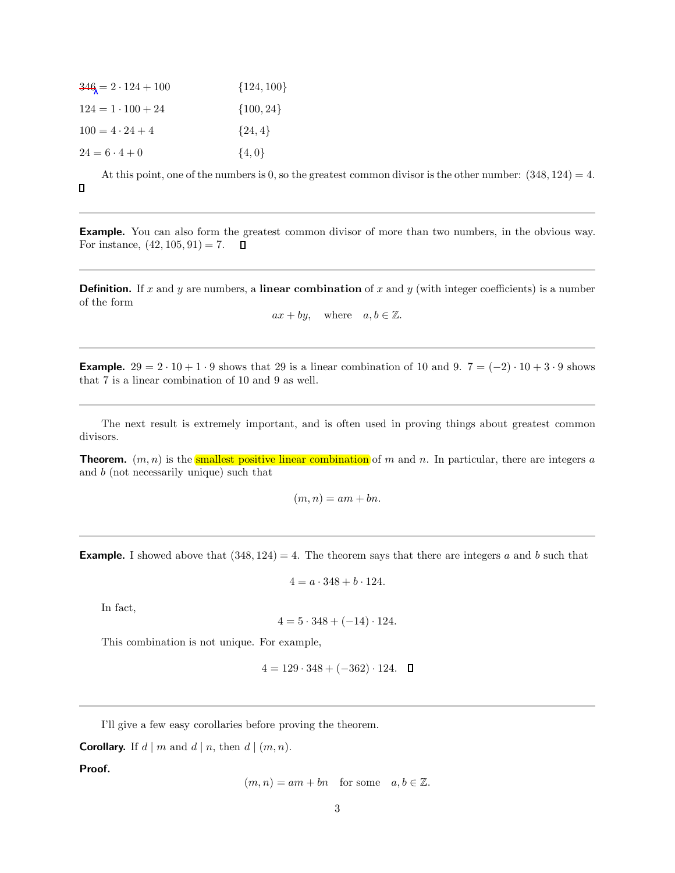| $346 = 2 \cdot 124 + 100$ | $\{124, 100\}$ |
|---------------------------|----------------|
| $124 = 1 \cdot 100 + 24$  | $\{100, 24\}$  |
| $100 = 4 \cdot 24 + 4$    | $\{24, 4\}$    |
| $24 = 6 \cdot 4 + 0$      | $\{4,0\}$      |

At this point, one of the numbers is 0, so the greatest common divisor is the other number:  $(348, 124) = 4$ .  $\Box$ 

Example. You can also form the greatest common divisor of more than two numbers, in the obvious way. For instance,  $(42, 105, 91) = 7$ .  $\mathsf{\Pi}$ 

**Definition.** If x and y are numbers, a linear combination of x and y (with integer coefficients) is a number of the form

 $ax + by$ , where  $a, b \in \mathbb{Z}$ .

**Example.**  $29 = 2 \cdot 10 + 1 \cdot 9$  shows that 29 is a linear combination of 10 and 9.  $7 = (-2) \cdot 10 + 3 \cdot 9$  shows that 7 is a linear combination of 10 and 9 as well.

The next result is extremely important, and is often used in proving things about greatest common divisors.

**Theorem.**  $(m, n)$  is the smallest positive linear combination of m and n. In particular, there are integers a and b (not necessarily unique) such that

 $(m, n) = am + bn.$ 

**Example.** I showed above that  $(348, 124) = 4$ . The theorem says that there are integers a and b such that

$$
4 = a \cdot 348 + b \cdot 124.
$$

In fact,

$$
4 = 5 \cdot 348 + (-14) \cdot 124.
$$

This combination is not unique. For example,

$$
4 = 129 \cdot 348 + (-362) \cdot 124. \quad \Box
$$

I'll give a few easy corollaries before proving the theorem.

**Corollary.** If  $d | m$  and  $d | n$ , then  $d | (m, n)$ .

Proof.

$$
(m, n) = am + bn
$$
 for some  $a, b \in \mathbb{Z}$ .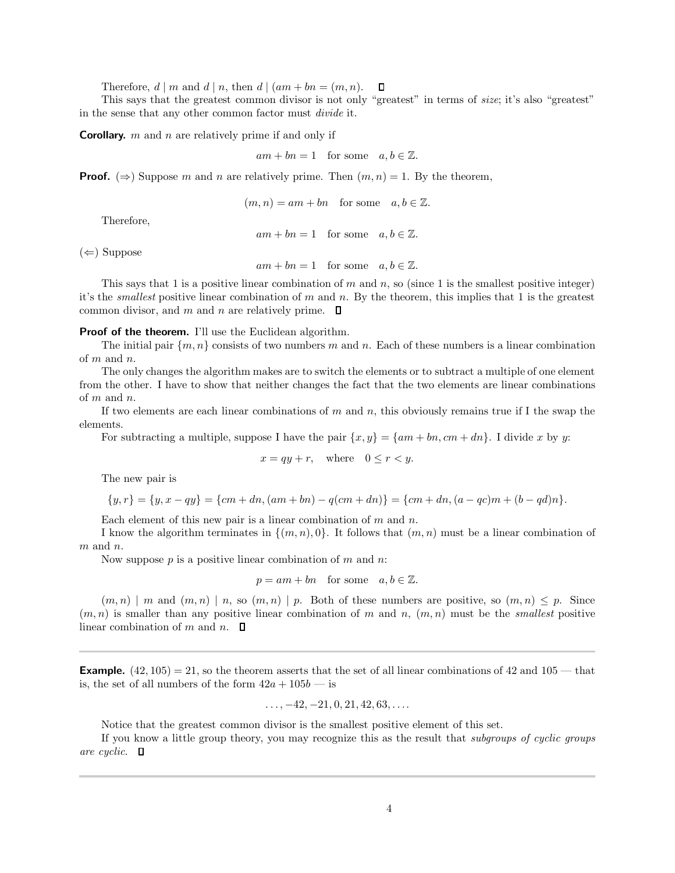Therefore,  $d | m$  and  $d | n$ , then  $d | (am + bn = (m, n))$ .  $\Box$ 

This says that the greatest common divisor is not only "greatest" in terms of size; it's also "greatest" in the sense that any other common factor must divide it.

**Corollary.** m and n are relatively prime if and only if

 $am + bn = 1$  for some  $a, b \in \mathbb{Z}$ .

**Proof.** ( $\Rightarrow$ ) Suppose m and n are relatively prime. Then  $(m, n) = 1$ . By the theorem,

 $(m, n) = am + bn$  for some  $a, b \in \mathbb{Z}$ .

Therefore,

 $am + bn = 1$  for some  $a, b \in \mathbb{Z}$ .

 $(\Leftarrow)$  Suppose

 $am + bn = 1$  for some  $a, b \in \mathbb{Z}$ .

This says that 1 is a positive linear combination of  $m$  and  $n$ , so (since 1 is the smallest positive integer) it's the *smallest* positive linear combination of  $m$  and  $n$ . By the theorem, this implies that 1 is the greatest common divisor, and m and n are relatively prime.  $\Box$ 

Proof of the theorem. I'll use the Euclidean algorithm.

The initial pair  $\{m, n\}$  consists of two numbers m and n. Each of these numbers is a linear combination of m and n.

The only changes the algorithm makes are to switch the elements or to subtract a multiple of one element from the other. I have to show that neither changes the fact that the two elements are linear combinations of m and n.

If two elements are each linear combinations of m and n, this obviously remains true if I the swap the elements.

For subtracting a multiple, suppose I have the pair  $\{x, y\} = \{am + bn, cm + dn\}$ . I divide x by y:

$$
x = qy + r, \quad \text{where} \quad 0 \le r < y.
$$

The new pair is

$$
\{y,r\} = \{y,x-qy\} = \{cm+dn,(am+bn) - q(cm+dn)\} = \{cm+dn,(a-qc)m+(b-qd)n\}.
$$

Each element of this new pair is a linear combination of  $m$  and  $n$ .

I know the algorithm terminates in  $\{(m, n), 0\}$ . It follows that  $(m, n)$  must be a linear combination of  $m$  and  $n$ .

Now suppose  $p$  is a positive linear combination of  $m$  and  $n$ .

$$
p=am+bn\quad\text{for some}\quad a,b\in\mathbb{Z}.
$$

 $(m, n) \mid m$  and  $(m, n) \mid n$ , so  $(m, n) \mid p$ . Both of these numbers are positive, so  $(m, n) \leq p$ . Since  $(m, n)$  is smaller than any positive linear combination of m and n,  $(m, n)$  must be the *smallest* positive linear combination of m and n.  $\square$ 

**Example.**  $(42, 105) = 21$ , so the theorem asserts that the set of all linear combinations of 42 and 105 — that is, the set of all numbers of the form  $42a + 105b$  — is

$$
\ldots, -42, -21, 0, 21, 42, 63, \ldots
$$

Notice that the greatest common divisor is the smallest positive element of this set.

If you know a little group theory, you may recognize this as the result that subgroups of cyclic groups are cyclic.  $\Box$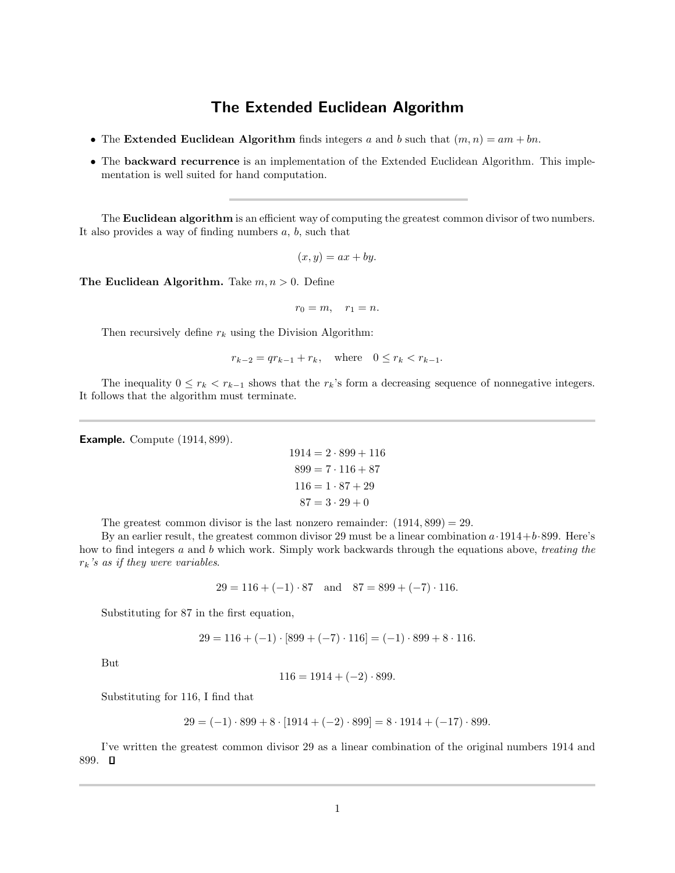## The Extended Euclidean Algorithm

- The Extended Euclidean Algorithm finds integers a and b such that  $(m, n) = am + bn$ .
- The backward recurrence is an implementation of the Extended Euclidean Algorithm. This implementation is well suited for hand computation.

The **Euclidean algorithm** is an efficient way of computing the greatest common divisor of two numbers. It also provides a way of finding numbers  $a, b$ , such that

$$
(x, y) = ax + by.
$$

The Euclidean Algorithm. Take  $m, n > 0$ . Define

 $r_0 = m, \quad r_1 = n.$ 

Then recursively define  $r_k$  using the Division Algorithm:

$$
r_{k-2} = qr_{k-1} + r_k
$$
, where  $0 \le r_k < r_{k-1}$ .

The inequality  $0 \leq r_k < r_{k-1}$  shows that the  $r_k$ 's form a decreasing sequence of nonnegative integers. It follows that the algorithm must terminate.

Example. Compute (1914, 899).

$$
1914 = 2 \cdot 899 + 116
$$

$$
899 = 7 \cdot 116 + 87
$$

$$
116 = 1 \cdot 87 + 29
$$

$$
87 = 3 \cdot 29 + 0
$$

The greatest common divisor is the last nonzero remainder:  $(1914, 899) = 29$ .

By an earlier result, the greatest common divisor 29 must be a linear combination  $a \cdot 1914 + b \cdot 899$ . Here's how to find integers a and b which work. Simply work backwards through the equations above, treating the  $r_k$ 's as if they were variables.

 $29 = 116 + (-1) \cdot 87$  and  $87 = 899 + (-7) \cdot 116$ .

Substituting for 87 in the first equation,

$$
29 = 116 + (-1) \cdot [899 + (-7) \cdot 116] = (-1) \cdot 899 + 8 \cdot 116.
$$

But

 $116 = 1914 + (-2) \cdot 899.$ 

Substituting for 116, I find that

$$
29 = (-1) \cdot 899 + 8 \cdot [1914 + (-2) \cdot 899] = 8 \cdot 1914 + (-17) \cdot 899.
$$

I've written the greatest common divisor 29 as a linear combination of the original numbers 1914 and 899.  $\Box$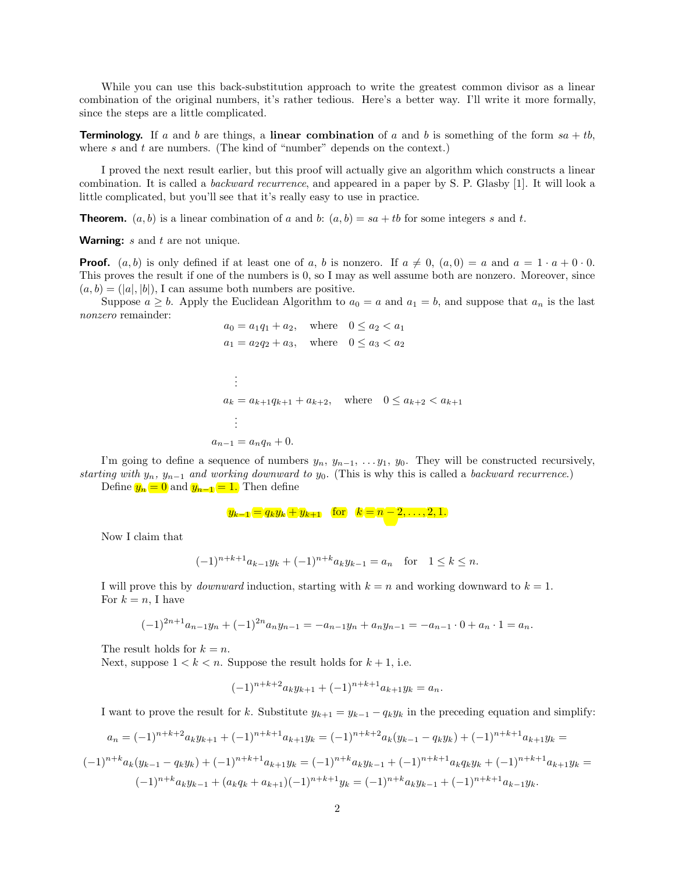While you can use this back-substitution approach to write the greatest common divisor as a linear combination of the original numbers, it's rather tedious. Here's a better way. I'll write it more formally, since the steps are a little complicated.

**Terminology.** If a and b are things, a linear combination of a and b is something of the form  $sa + tb$ , where  $s$  and  $t$  are numbers. (The kind of "number" depends on the context.)

I proved the next result earlier, but this proof will actually give an algorithm which constructs a linear combination. It is called a backward recurrence, and appeared in a paper by S. P. Glasby [1]. It will look a little complicated, but you'll see that it's really easy to use in practice.

**Theorem.**  $(a, b)$  is a linear combination of a and b:  $(a, b) = sa + tb$  for some integers s and t.

**Warning:**  $s$  and  $t$  are not unique.

**Proof.**  $(a, b)$  is only defined if at least one of a, b is nonzero. If  $a \neq 0$ ,  $(a, 0) = a$  and  $a = 1 \cdot a + 0 \cdot 0$ . This proves the result if one of the numbers is 0, so I may as well assume both are nonzero. Moreover, since  $(a, b) = (|a|, |b|)$ , I can assume both numbers are positive.

Suppose  $a \geq b$ . Apply the Euclidean Algorithm to  $a_0 = a$  and  $a_1 = b$ , and suppose that  $a_n$  is the last nonzero remainder:

$$
a_0 = a_1 q_1 + a_2, \text{ where } 0 \le a_2 < a_1
$$
  
\n
$$
a_1 = a_2 q_2 + a_3, \text{ where } 0 \le a_3 < a_2
$$
  
\n
$$
\vdots
$$
  
\n
$$
a_k = a_{k+1} q_{k+1} + a_{k+2}, \text{ where } 0 \le a_{k+2} < a_{k+1}
$$
  
\n
$$
\vdots
$$
  
\n
$$
a_{n-1} = a_n q_n + 0.
$$

I'm going to define a sequence of numbers  $y_n, y_{n-1}, \ldots, y_1, y_0$ . They will be constructed recursively, starting with  $y_n$ ,  $y_{n-1}$  and working downward to  $y_0$ . (This is why this is called a backward recurrence.)

Define  $y_n = 0$  and  $y_{n-1} = 1$ . Then define

$$
y_{k-1} = q_k y_k + y_{k+1}
$$
 for  $k = n - 2, ..., 2, 1$ .

Now I claim that

$$
(-1)^{n+k+1}a_{k-1}y_k + (-1)^{n+k}a_ky_{k-1} = a_n \text{ for } 1 \le k \le n.
$$

I will prove this by *downward* induction, starting with  $k = n$  and working downward to  $k = 1$ . For  $k = n$ , I have

$$
(-1)^{2n+1}a_{n-1}y_n + (-1)^{2n}a_ny_{n-1} = -a_{n-1}y_n + a_ny_{n-1} = -a_{n-1} \cdot 0 + a_n \cdot 1 = a_n.
$$

The result holds for  $k = n$ .

Next, suppose  $1 < k < n$ . Suppose the result holds for  $k + 1$ , i.e.

$$
(-1)^{n+k+2}a_ky_{k+1} + (-1)^{n+k+1}a_{k+1}y_k = a_n.
$$

I want to prove the result for k. Substitute  $y_{k+1} = y_{k-1} - q_k y_k$  in the preceding equation and simplify:

$$
a_n = (-1)^{n+k+2} a_k y_{k+1} + (-1)^{n+k+1} a_{k+1} y_k = (-1)^{n+k+2} a_k (y_{k-1} - q_k y_k) + (-1)^{n+k+1} a_{k+1} y_k = (-1)^{n+k} a_k (y_{k-1} - q_k y_k) + (-1)^{n+k+1} a_{k+1} y_k = (-1)^{n+k} a_k y_{k-1} + (-1)^{n+k+1} a_k q_k y_k + (-1)^{n+k+1} a_{k+1} y_k = (-1)^{n+k} a_k y_{k-1} + (a_k q_k + a_{k+1}) (-1)^{n+k+1} y_k = (-1)^{n+k} a_k y_{k-1} + (-1)^{n+k+1} a_{k-1} y_k.
$$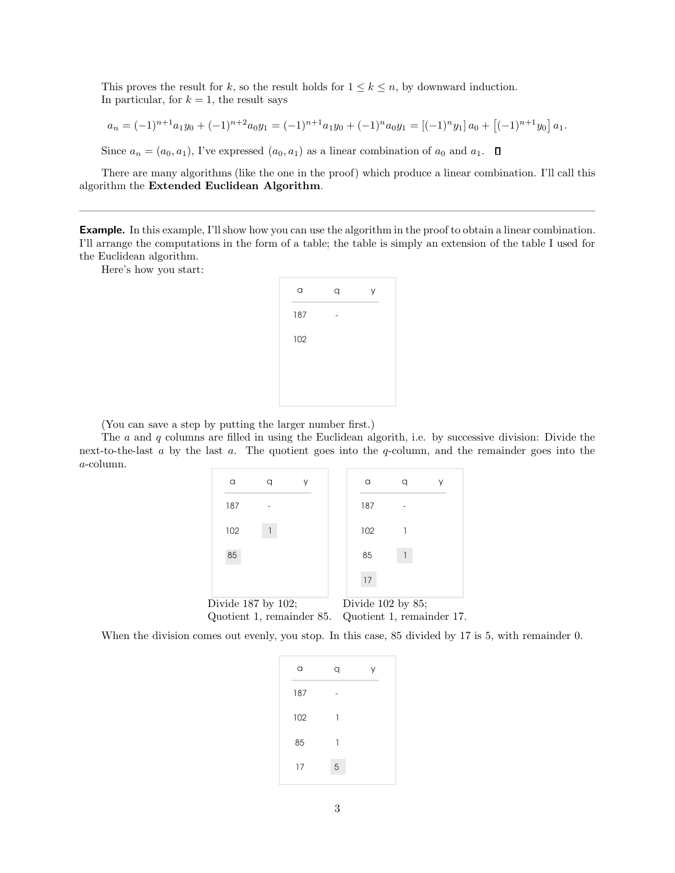This proves the result for k, so the result holds for  $1 \leq k \leq n$ , by downward induction. In particular, for  $k = 1$ , the result says

$$
a_n = (-1)^{n+1} a_1 y_0 + (-1)^{n+2} a_0 y_1 = (-1)^{n+1} a_1 y_0 + (-1)^n a_0 y_1 = [(-1)^n y_1] a_0 + [(-1)^{n+1} y_0] a_1.
$$

Since  $a_n = (a_0, a_1)$ , I've expressed  $(a_0, a_1)$  as a linear combination of  $a_0$  and  $a_1$ .  $\Box$ 

There are many algorithms (like the one in the proof) which produce a linear combination. I'll call this algorithm the Extended Euclidean Algorithm.

Example. In this example, I'll show how you can use the algorithm in the proof to obtain a linear combination. I'll arrange the computations in the form of a table; the table is simply an extension of the table I used for the Euclidean algorithm.

Here's how you start:

| a   | q | У |
|-----|---|---|
| 187 |   |   |
| 102 |   |   |
|     |   |   |
|     |   |   |
|     |   |   |

(You can save a step by putting the larger number first.)

The  $a$  and  $q$  columns are filled in using the Euclidean algorith, i.e. by successive division: Divide the next-to-the-last  $a$  by the last  $a$ . The quotient goes into the  $q$ -column, and the remainder goes into the a-column.

| a                  |                           | У | a                      | ٧                         |
|--------------------|---------------------------|---|------------------------|---------------------------|
| 187                |                           |   | 187                    |                           |
| 102                |                           |   | 102                    |                           |
| 85                 |                           |   | 85                     |                           |
|                    |                           |   | 17                     |                           |
| Divide 187 by 102; |                           |   | Divide $102$ by $85$ ; |                           |
|                    | Quotient 1, remainder 85. |   |                        | Quotient 1, remainder 17. |

When the division comes out evenly, you stop. In this case, 85 divided by 17 is 5, with remainder 0.

| a   | q |  |
|-----|---|--|
| 187 |   |  |
| 102 | 1 |  |
| 85  | 1 |  |
| 17  | 5 |  |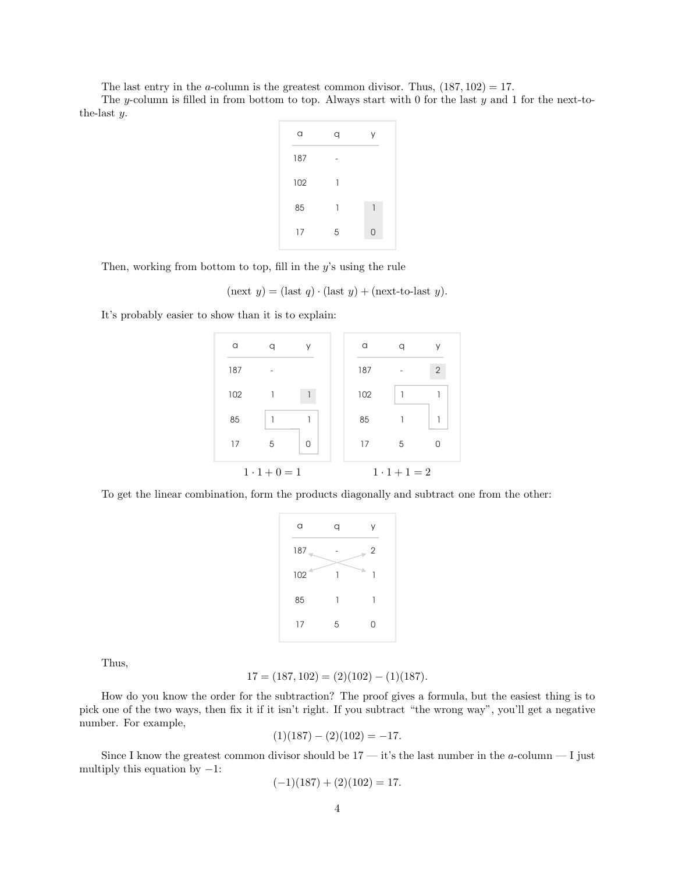The last entry in the a-column is the greatest common divisor. Thus,  $(187, 102) = 17$ .

The y-column is filled in from bottom to top. Always start with 0 for the last y and 1 for the next-tothe-last y.

| a   | q | У |
|-----|---|---|
| 187 |   |   |
| 102 | 1 |   |
| 85  | 1 | 1 |
| 17  | 5 | 0 |
|     |   |   |

Then, working from bottom to top, fill in the  $y$ 's using the rule

$$
(\text{next } y) = (\text{last } q) \cdot (\text{last } y) + (\text{next-to-last } y).
$$

It's probably easier to show than it is to explain:



To get the linear combination, form the products diagonally and subtract one from the other:

| a       | q | У              |
|---------|---|----------------|
| $187 -$ |   | $\overline{2}$ |
| 102     |   | ÷<br>1         |
| 85      | 1 | 1              |
| 17      | 5 | 0              |

Thus,

$$
17 = (187, 102) = (2)(102) - (1)(187).
$$

How do you know the order for the subtraction? The proof gives a formula, but the easiest thing is to pick one of the two ways, then fix it if it isn't right. If you subtract "the wrong way", you'll get a negative number. For example,

$$
(1)(187) - (2)(102) = -17.
$$

Since I know the greatest common divisor should be  $17 - it$ 's the last number in the a-column  $- I$  just multiply this equation by  $-1$ :

$$
(-1)(187) + (2)(102) = 17.
$$